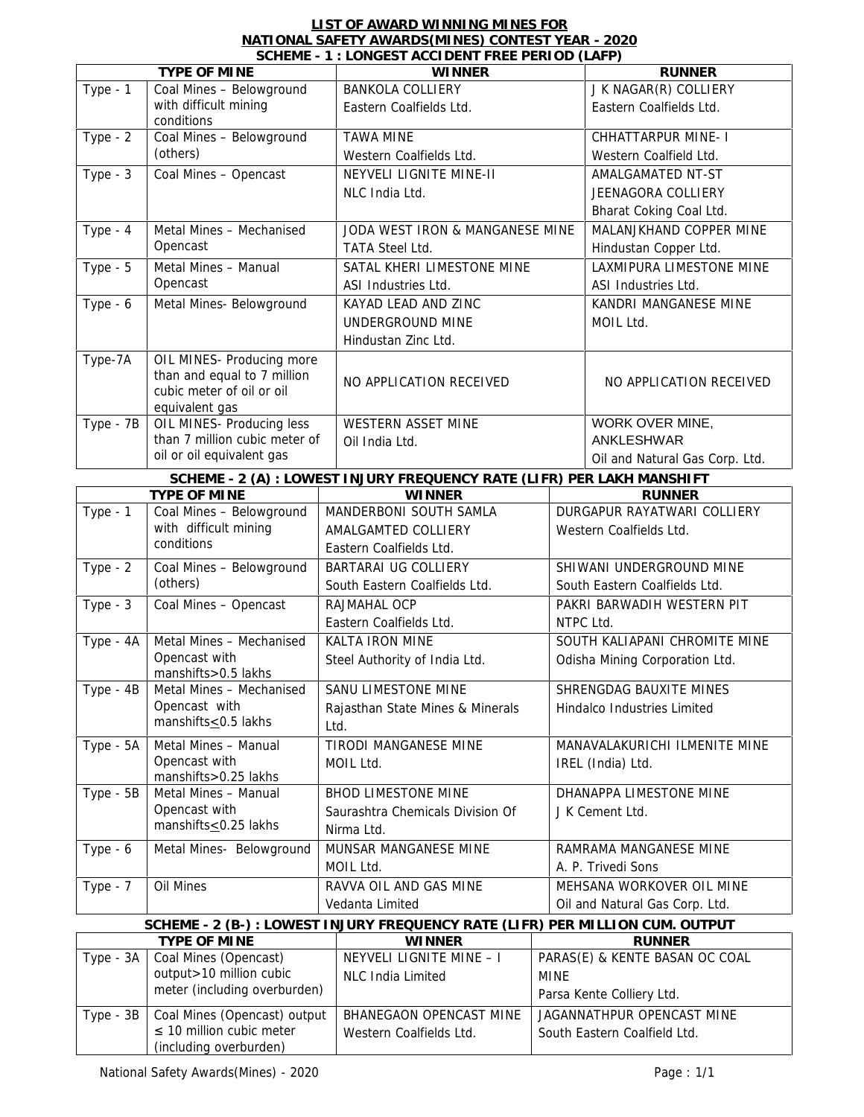## **LIST OF AWARD WINNING MINES FOR NATIONAL SAFETY AWARDS(MINES) CONTEST YEAR - 2020**

|             |                                                                                                         | SCHEME - 1 : LONGEST ACCIDENT FREE PERIOD (LAFP)                              |                               |                                                 |  |
|-------------|---------------------------------------------------------------------------------------------------------|-------------------------------------------------------------------------------|-------------------------------|-------------------------------------------------|--|
|             | TYPE OF MINE                                                                                            | <b>WINNER</b>                                                                 |                               | <b>RUNNER</b><br>J K NAGAR(R) COLLIERY          |  |
| Type - 1    | Coal Mines - Belowground                                                                                |                                                                               | <b>BANKOLA COLLIERY</b>       |                                                 |  |
|             | with difficult mining<br>conditions                                                                     | Eastern Coalfields Ltd.                                                       |                               | Eastern Coalfields Ltd.                         |  |
| Type - $2$  | Coal Mines - Belowground                                                                                | <b>TAWA MINE</b>                                                              |                               |                                                 |  |
|             | (others)                                                                                                | Western Coalfields Ltd.                                                       |                               | Western Coalfield Ltd.                          |  |
| Type $-3$   | Coal Mines - Opencast                                                                                   | NEYVELI LIGNITE MINE-II                                                       |                               |                                                 |  |
|             |                                                                                                         | NLC India Ltd.                                                                |                               | JEENAGORA COLLIERY                              |  |
|             |                                                                                                         |                                                                               |                               | Bharat Coking Coal Ltd.                         |  |
| Type $-4$   | Metal Mines - Mechanised                                                                                | JODA WEST IRON & MANGANESE MINE                                               |                               | MALANJKHAND COPPER MINE                         |  |
|             | Opencast                                                                                                | TATA Steel Ltd.                                                               |                               |                                                 |  |
| Type $-5$   | Metal Mines - Manual                                                                                    |                                                                               | SATAL KHERI LIMESTONE MINE    |                                                 |  |
|             | Opencast                                                                                                | ASI Industries Ltd.                                                           |                               | ASI Industries Ltd.                             |  |
| Type - 6    | Metal Mines- Belowground                                                                                | KAYAD LEAD AND ZINC                                                           |                               |                                                 |  |
|             |                                                                                                         | UNDERGROUND MINE                                                              |                               | MOIL Ltd.                                       |  |
|             |                                                                                                         | Hindustan Zinc Ltd.                                                           |                               |                                                 |  |
| Type-7A     | OIL MINES- Producing more<br>than and equal to 7 million<br>cubic meter of oil or oil<br>equivalent gas | NO APPLICATION RECEIVED                                                       |                               | NO APPLICATION RECEIVED                         |  |
| $Type - 7B$ | OIL MINES- Producing less                                                                               | WESTERN ASSET MINE                                                            |                               | WORK OVER MINE,                                 |  |
|             | than 7 million cubic meter of                                                                           | Oil India Ltd.                                                                |                               | <b>ANKLESHWAR</b>                               |  |
|             | oil or oil equivalent gas                                                                               |                                                                               |                               | Oil and Natural Gas Corp. Ltd.                  |  |
|             |                                                                                                         | SCHEME - 2 (A) : LOWEST I NJURY FREQUENCY RATE (LIFR) PER LAKH MANSHIFT       |                               |                                                 |  |
|             | TYPE OF MINE                                                                                            | <b>WINNER</b>                                                                 |                               | <b>RUNNER</b>                                   |  |
| Type - 1    | Coal Mines - Belowground                                                                                | MANDERBONI SOUTH SAMLA                                                        |                               | DURGAPUR RAYATWARI COLLIERY                     |  |
|             | with difficult mining                                                                                   | AMALGAMTED COLLIERY                                                           |                               | Western Coalfields Ltd.                         |  |
|             | conditions                                                                                              | Eastern Coalfields Ltd.                                                       |                               |                                                 |  |
| Type - $2$  | Coal Mines - Belowground                                                                                | BARTARAI UG COLLIERY                                                          |                               | SHIWANI UNDERGROUND MINE                        |  |
|             | (others)                                                                                                | South Eastern Coalfields Ltd.                                                 |                               | South Eastern Coalfields Ltd.                   |  |
| Type $-3$   | Coal Mines - Opencast                                                                                   | RAJMAHAL OCP                                                                  | PAKRI BARWADIH WESTERN PIT    |                                                 |  |
|             |                                                                                                         | Eastern Coalfields Ltd.                                                       |                               | NTPC Ltd.                                       |  |
| Type - 4A   | Metal Mines - Mechanised                                                                                | KALTA IRON MINE                                                               |                               | SOUTH KALIAPANI CHROMITE MINE                   |  |
|             | Opencast with<br>manshifts>0.5 lakhs                                                                    | Steel Authority of India Ltd.                                                 |                               | Odisha Mining Corporation Ltd.                  |  |
| Type - 4B   | Metal Mines - Mechanised                                                                                | <b>SANU LIMESTONE MINE</b>                                                    |                               | SHRENGDAG BAUXITE MINES                         |  |
|             | Opencast with                                                                                           | Rajasthan State Mines & Minerals                                              |                               | Hindalco Industries Limited                     |  |
|             | manshifts<0.5 lakhs                                                                                     | Ltd.                                                                          |                               |                                                 |  |
| Type - 5A   | Metal Mines - Manual                                                                                    | TIRODI MANGANESE MINE                                                         | MANAVALAKURICHI ILMENITE MINE |                                                 |  |
|             | Opencast with                                                                                           | MOIL Ltd.                                                                     |                               | IREL (India) Ltd.                               |  |
|             | manshifts>0.25 lakhs                                                                                    |                                                                               |                               |                                                 |  |
| $Type - 5B$ | Metal Mines - Manual<br>Opencast with                                                                   | <b>BHOD LIMESTONE MINE</b>                                                    |                               | DHANAPPA LIMESTONE MINE                         |  |
|             | manshifts<0.25 lakhs                                                                                    | Saurashtra Chemicals Division Of                                              |                               | J K Cement Ltd.                                 |  |
|             |                                                                                                         | Nirma Ltd.                                                                    |                               |                                                 |  |
| Type - 6    | Metal Mines- Belowground                                                                                | MUNSAR MANGANESE MINE                                                         |                               | RAMRAMA MANGANESE MINE                          |  |
|             |                                                                                                         | MOIL Ltd.                                                                     |                               | A. P. Trivedi Sons                              |  |
| Type - 7    | Oil Mines                                                                                               | RAVVA OIL AND GAS MINE                                                        |                               | MEHSANA WORKOVER OIL MINE                       |  |
|             |                                                                                                         | Vedanta Limited                                                               |                               | Oil and Natural Gas Corp. Ltd.                  |  |
|             |                                                                                                         | SCHEME - 2 (B-) : LOWEST INJURY FREQUENCY RATE (LIFR) PER MILLION CUM. OUTPUT |                               |                                                 |  |
|             | TYPE OF MINE                                                                                            | <b>WINNER</b>                                                                 |                               | <b>RUNNER</b><br>PARAS(E) & KENTE BASAN OC COAL |  |
| Type - 3A   | Coal Mines (Opencast)                                                                                   |                                                                               | NEYVELI LIGNITE MINE - I      |                                                 |  |
|             | output > 10 million cubic<br>meter (including overburden)                                               | <b>NLC India Limited</b>                                                      | <b>MINE</b>                   |                                                 |  |
|             |                                                                                                         |                                                                               |                               | Parsa Kente Colliery Ltd.                       |  |
| Type - 3B   | Coal Mines (Opencast) output                                                                            | BHANEGAON OPENCAST MINE                                                       |                               | JAGANNATHPUR OPENCAST MINE                      |  |
|             | 10 million cubic meter                                                                                  | Western Coalfields Ltd.                                                       |                               | South Eastern Coalfield Ltd.                    |  |
|             | (including overburden)                                                                                  |                                                                               |                               |                                                 |  |